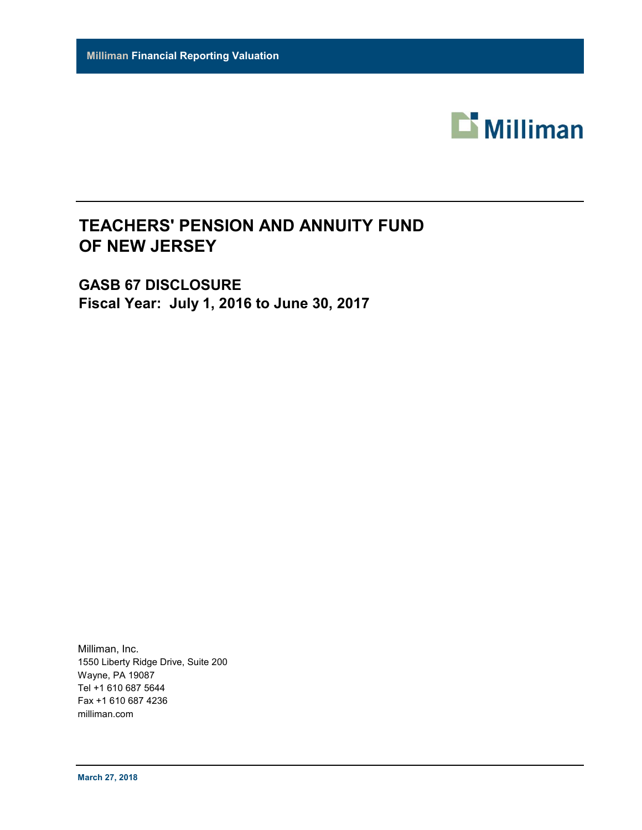

# **TEACHERS' PENSION AND ANNUITY FUND OF NEW JERSEY**

**GASB 67 DISCLOSURE Fiscal Year: July 1, 2016 to June 30, 2017**

Milliman, Inc. 1550 Liberty Ridge Drive, Suite 200 Wayne, PA 19087 Tel +1 610 687 5644 Fax +1 610 687 4236 milliman.com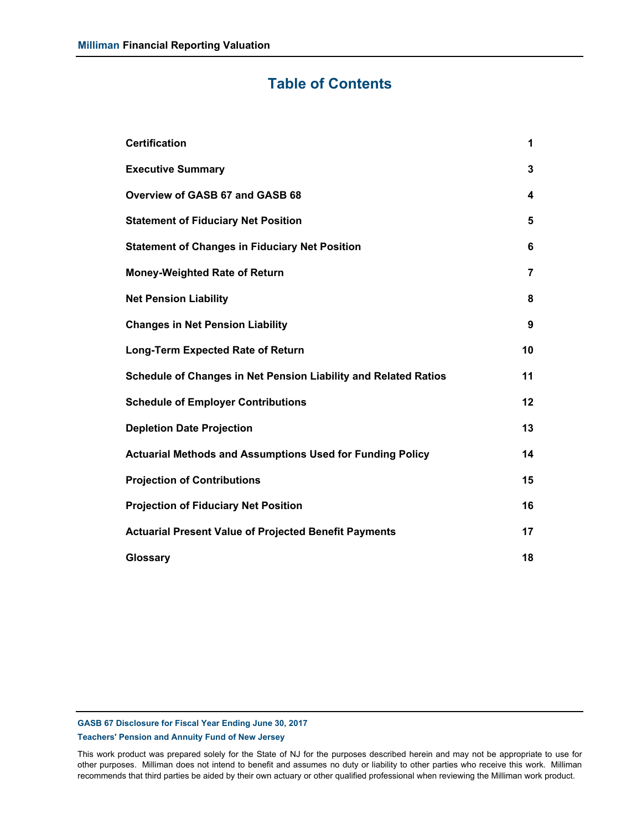## **Table of Contents**

| <b>Certification</b>                                             | 1              |
|------------------------------------------------------------------|----------------|
| <b>Executive Summary</b>                                         | 3              |
| Overview of GASB 67 and GASB 68                                  | 4              |
| <b>Statement of Fiduciary Net Position</b>                       | 5              |
| <b>Statement of Changes in Fiduciary Net Position</b>            | 6              |
| <b>Money-Weighted Rate of Return</b>                             | $\overline{7}$ |
| <b>Net Pension Liability</b>                                     | 8              |
| <b>Changes in Net Pension Liability</b>                          | 9              |
| <b>Long-Term Expected Rate of Return</b>                         | 10             |
| Schedule of Changes in Net Pension Liability and Related Ratios  | 11             |
| <b>Schedule of Employer Contributions</b>                        | 12             |
| <b>Depletion Date Projection</b>                                 | 13             |
| <b>Actuarial Methods and Assumptions Used for Funding Policy</b> | 14             |
| <b>Projection of Contributions</b>                               | 15             |
| <b>Projection of Fiduciary Net Position</b>                      | 16             |
| <b>Actuarial Present Value of Projected Benefit Payments</b>     | 17             |
| Glossary                                                         | 18             |

**GASB 67 Disclosure for Fiscal Year Ending June 30, 2017**

**Teachers' Pension and Annuity Fund of New Jersey**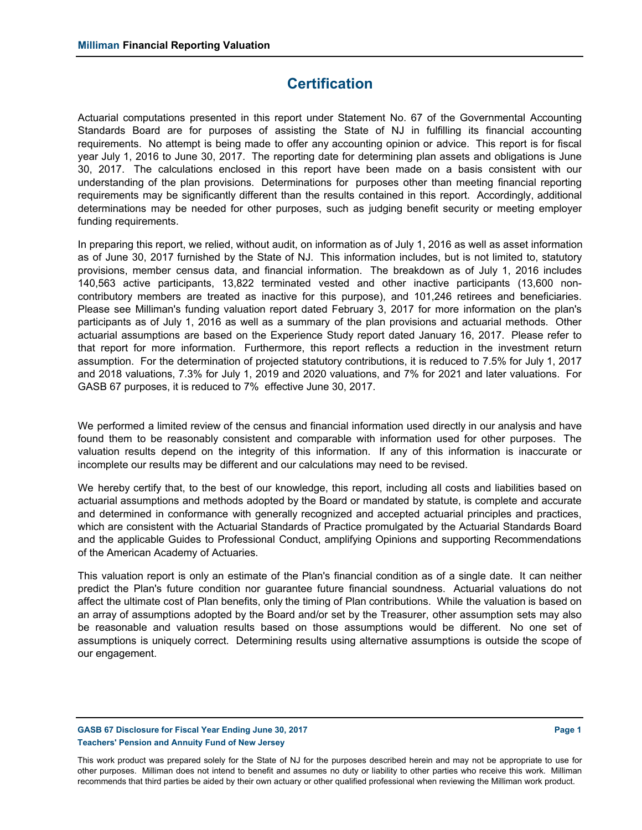### **Certification**

Actuarial computations presented in this report under Statement No. 67 of the Governmental Accounting Standards Board are for purposes of assisting the State of NJ in fulfilling its financial accounting requirements. No attempt is being made to offer any accounting opinion or advice. This report is for fiscal year July 1, 2016 to June 30, 2017. The reporting date for determining plan assets and obligations is June 30, 2017. The calculations enclosed in this report have been made on a basis consistent with our understanding of the plan provisions. Determinations for purposes other than meeting financial reporting requirements may be significantly different than the results contained in this report. Accordingly, additional determinations may be needed for other purposes, such as judging benefit security or meeting employer funding requirements.

In preparing this report, we relied, without audit, on information as of July 1, 2016 as well as asset information as of June 30, 2017 furnished by the State of NJ. This information includes, but is not limited to, statutory provisions, member census data, and financial information. The breakdown as of July 1, 2016 includes 140,563 active participants, 13,822 terminated vested and other inactive participants (13,600 noncontributory members are treated as inactive for this purpose), and 101,246 retirees and beneficiaries. Please see Milliman's funding valuation report dated February 3, 2017 for more information on the plan's participants as of July 1, 2016 as well as a summary of the plan provisions and actuarial methods. Other actuarial assumptions are based on the Experience Study report dated January 16, 2017. Please refer to that report for more information. Furthermore, this report reflects a reduction in the investment return assumption. For the determination of projected statutory contributions, it is reduced to 7.5% for July 1, 2017 and 2018 valuations, 7.3% for July 1, 2019 and 2020 valuations, and 7% for 2021 and later valuations. For GASB 67 purposes, it is reduced to 7% effective June 30, 2017.

We performed a limited review of the census and financial information used directly in our analysis and have found them to be reasonably consistent and comparable with information used for other purposes. The valuation results depend on the integrity of this information. If any of this information is inaccurate or incomplete our results may be different and our calculations may need to be revised.

We hereby certify that, to the best of our knowledge, this report, including all costs and liabilities based on actuarial assumptions and methods adopted by the Board or mandated by statute, is complete and accurate and determined in conformance with generally recognized and accepted actuarial principles and practices, which are consistent with the Actuarial Standards of Practice promulgated by the Actuarial Standards Board and the applicable Guides to Professional Conduct, amplifying Opinions and supporting Recommendations of the American Academy of Actuaries.

This valuation report is only an estimate of the Plan's financial condition as of a single date. It can neither predict the Plan's future condition nor guarantee future financial soundness. Actuarial valuations do not affect the ultimate cost of Plan benefits, only the timing of Plan contributions. While the valuation is based on an array of assumptions adopted by the Board and/or set by the Treasurer, other assumption sets may also be reasonable and valuation results based on those assumptions would be different. No one set of assumptions is uniquely correct. Determining results using alternative assumptions is outside the scope of our engagement.

### **GASB 67 Disclosure for Fiscal Year Ending June 30, 2017 Page 1 Teachers' Pension and Annuity Fund of New Jersey**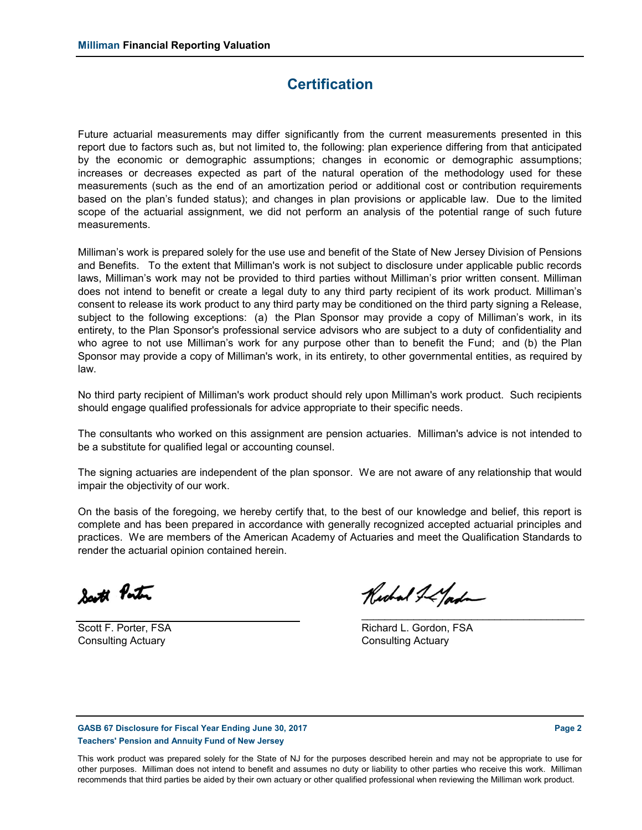### **Certification**

Future actuarial measurements may differ significantly from the current measurements presented in this report due to factors such as, but not limited to, the following: plan experience differing from that anticipated by the economic or demographic assumptions; changes in economic or demographic assumptions; increases or decreases expected as part of the natural operation of the methodology used for these measurements (such as the end of an amortization period or additional cost or contribution requirements based on the plan's funded status); and changes in plan provisions or applicable law. Due to the limited scope of the actuarial assignment, we did not perform an analysis of the potential range of such future measurements.

Milliman's work is prepared solely for the use use and benefit of the State of New Jersey Division of Pensions and Benefits. To the extent that Milliman's work is not subject to disclosure under applicable public records laws, Milliman's work may not be provided to third parties without Milliman's prior written consent. Milliman does not intend to benefit or create a legal duty to any third party recipient of its work product. Milliman's consent to release its work product to any third party may be conditioned on the third party signing a Release, subject to the following exceptions: (a) the Plan Sponsor may provide a copy of Milliman's work, in its entirety, to the Plan Sponsor's professional service advisors who are subject to a duty of confidentiality and who agree to not use Milliman's work for any purpose other than to benefit the Fund; and (b) the Plan Sponsor may provide a copy of Milliman's work, in its entirety, to other governmental entities, as required by law.

No third party recipient of Milliman's work product should rely upon Milliman's work product. Such recipients should engage qualified professionals for advice appropriate to their specific needs.

The consultants who worked on this assignment are pension actuaries. Milliman's advice is not intended to be a substitute for qualified legal or accounting counsel.

The signing actuaries are independent of the plan sponsor. We are not aware of any relationship that would impair the objectivity of our work.

On the basis of the foregoing, we hereby certify that, to the best of our knowledge and belief, this report is complete and has been prepared in accordance with generally recognized accepted actuarial principles and practices. We are members of the American Academy of Actuaries and meet the Qualification Standards to render the actuarial opinion contained herein.

South Ponton

Consulting Actuary Consulting Actuary

Richard I LYord

Scott F. Porter, FSA **Richard L. Gordon, FSA** 

**GASB 67 Disclosure for Fiscal Year Ending June 30, 2017 Page 2 Teachers' Pension and Annuity Fund of New Jersey**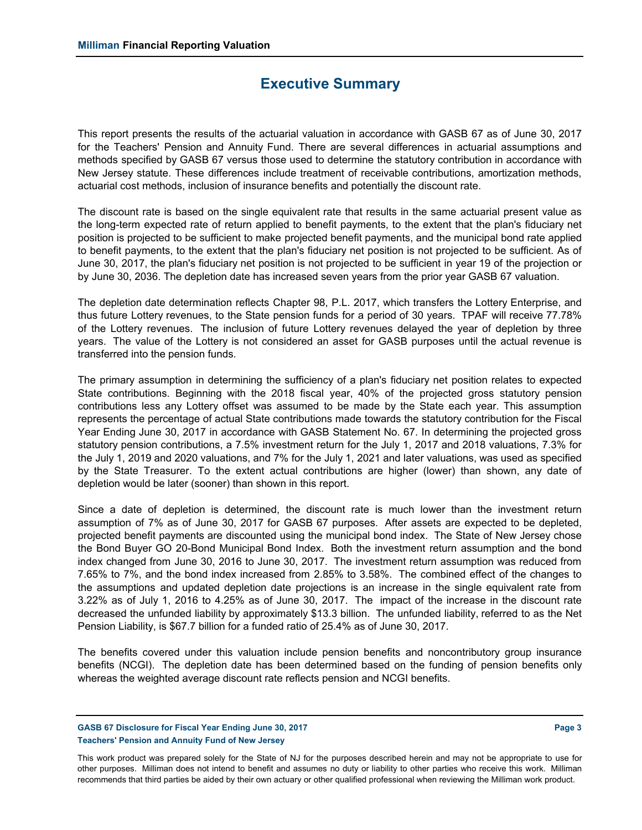### **Executive Summary**

This report presents the results of the actuarial valuation in accordance with GASB 67 as of June 30, 2017 for the Teachers' Pension and Annuity Fund. There are several differences in actuarial assumptions and methods specified by GASB 67 versus those used to determine the statutory contribution in accordance with New Jersey statute. These differences include treatment of receivable contributions, amortization methods, actuarial cost methods, inclusion of insurance benefits and potentially the discount rate.

The discount rate is based on the single equivalent rate that results in the same actuarial present value as the long-term expected rate of return applied to benefit payments, to the extent that the plan's fiduciary net position is projected to be sufficient to make projected benefit payments, and the municipal bond rate applied to benefit payments, to the extent that the plan's fiduciary net position is not projected to be sufficient. As of June 30, 2017, the plan's fiduciary net position is not projected to be sufficient in year 19 of the projection or by June 30, 2036. The depletion date has increased seven years from the prior year GASB 67 valuation.

The depletion date determination reflects Chapter 98, P.L. 2017, which transfers the Lottery Enterprise, and thus future Lottery revenues, to the State pension funds for a period of 30 years. TPAF will receive 77.78% of the Lottery revenues. The inclusion of future Lottery revenues delayed the year of depletion by three years. The value of the Lottery is not considered an asset for GASB purposes until the actual revenue is transferred into the pension funds.

The primary assumption in determining the sufficiency of a plan's fiduciary net position relates to expected State contributions. Beginning with the 2018 fiscal year, 40% of the projected gross statutory pension contributions less any Lottery offset was assumed to be made by the State each year. This assumption represents the percentage of actual State contributions made towards the statutory contribution for the Fiscal Year Ending June 30, 2017 in accordance with GASB Statement No. 67. In determining the projected gross statutory pension contributions, a 7.5% investment return for the July 1, 2017 and 2018 valuations, 7.3% for the July 1, 2019 and 2020 valuations, and 7% for the July 1, 2021 and later valuations, was used as specified by the State Treasurer. To the extent actual contributions are higher (lower) than shown, any date of depletion would be later (sooner) than shown in this report.

Since a date of depletion is determined, the discount rate is much lower than the investment return assumption of 7% as of June 30, 2017 for GASB 67 purposes. After assets are expected to be depleted, projected benefit payments are discounted using the municipal bond index. The State of New Jersey chose the Bond Buyer GO 20-Bond Municipal Bond Index. Both the investment return assumption and the bond index changed from June 30, 2016 to June 30, 2017. The investment return assumption was reduced from 7.65% to 7%, and the bond index increased from 2.85% to 3.58%. The combined effect of the changes to the assumptions and updated depletion date projections is an increase in the single equivalent rate from 3.22% as of July 1, 2016 to 4.25% as of June 30, 2017. The impact of the increase in the discount rate decreased the unfunded liability by approximately \$13.3 billion. The unfunded liability, referred to as the Net Pension Liability, is \$67.7 billion for a funded ratio of 25.4% as of June 30, 2017.

The benefits covered under this valuation include pension benefits and noncontributory group insurance benefits (NCGI). The depletion date has been determined based on the funding of pension benefits only whereas the weighted average discount rate reflects pension and NCGI benefits.

**GASB 67 Disclosure for Fiscal Year Ending June 30, 2017 Page 3 Teachers' Pension and Annuity Fund of New Jersey**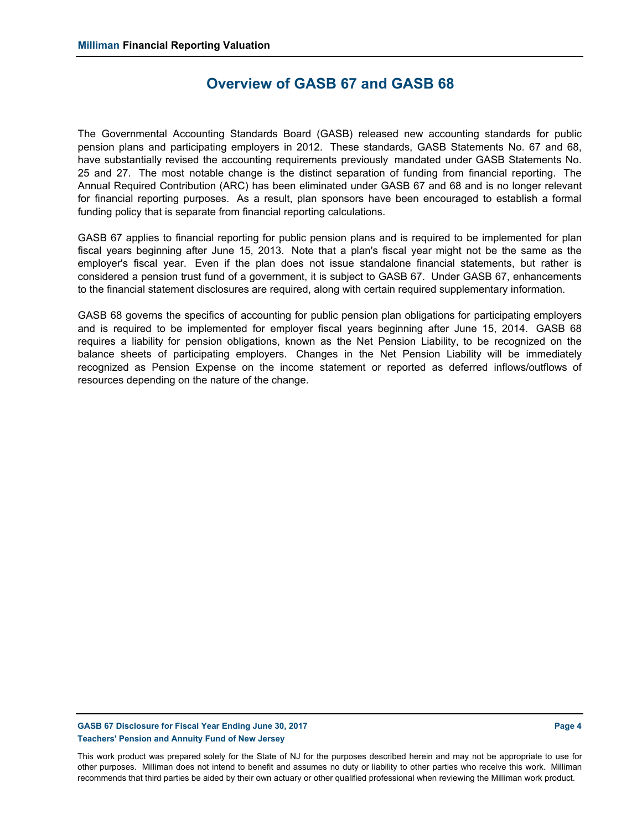### **Overview of GASB 67 and GASB 68**

The Governmental Accounting Standards Board (GASB) released new accounting standards for public pension plans and participating employers in 2012. These standards, GASB Statements No. 67 and 68, have substantially revised the accounting requirements previously mandated under GASB Statements No. 25 and 27. The most notable change is the distinct separation of funding from financial reporting. The Annual Required Contribution (ARC) has been eliminated under GASB 67 and 68 and is no longer relevant for financial reporting purposes. As a result, plan sponsors have been encouraged to establish a formal funding policy that is separate from financial reporting calculations.

GASB 67 applies to financial reporting for public pension plans and is required to be implemented for plan fiscal years beginning after June 15, 2013. Note that a plan's fiscal year might not be the same as the employer's fiscal year. Even if the plan does not issue standalone financial statements, but rather is considered a pension trust fund of a government, it is subject to GASB 67. Under GASB 67, enhancements to the financial statement disclosures are required, along with certain required supplementary information.

GASB 68 governs the specifics of accounting for public pension plan obligations for participating employers and is required to be implemented for employer fiscal years beginning after June 15, 2014. GASB 68 requires a liability for pension obligations, known as the Net Pension Liability, to be recognized on the balance sheets of participating employers. Changes in the Net Pension Liability will be immediately recognized as Pension Expense on the income statement or reported as deferred inflows/outflows of resources depending on the nature of the change.

#### **GASB 67 Disclosure for Fiscal Year Ending June 30, 2017 Page 4 Teachers' Pension and Annuity Fund of New Jersey**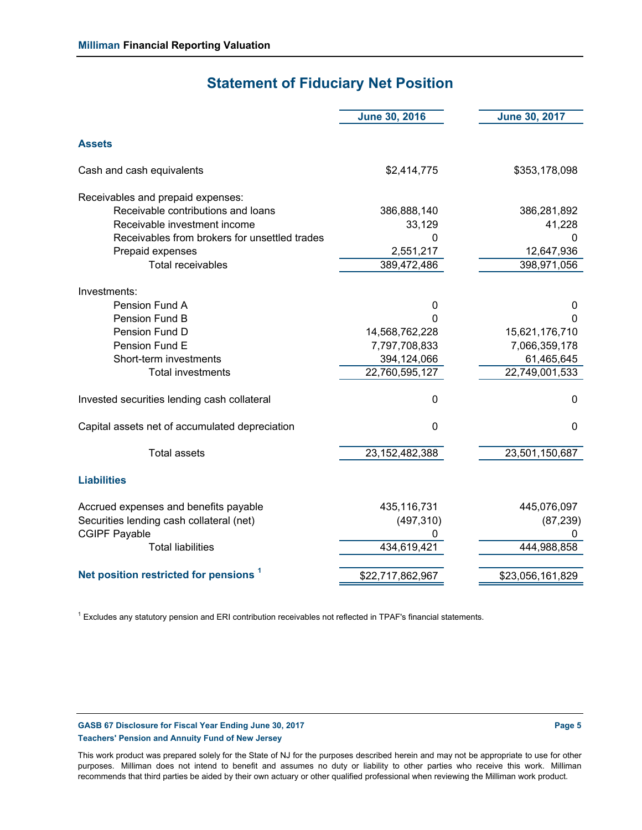# **Statement of Fiduciary Net Position**

|                                                   | <b>June 30, 2016</b> | <b>June 30, 2017</b> |
|---------------------------------------------------|----------------------|----------------------|
| <b>Assets</b>                                     |                      |                      |
| Cash and cash equivalents                         | \$2,414,775          | \$353,178,098        |
| Receivables and prepaid expenses:                 |                      |                      |
| Receivable contributions and loans                | 386,888,140          | 386,281,892          |
| Receivable investment income                      | 33,129               | 41,228               |
| Receivables from brokers for unsettled trades     | $\mathbf{0}$         | 0                    |
| Prepaid expenses                                  | 2,551,217            | 12,647,936           |
| <b>Total receivables</b>                          | 389,472,486          | 398,971,056          |
| Investments:                                      |                      |                      |
| Pension Fund A                                    | $\mathbf 0$          | 0                    |
| Pension Fund B                                    | 0                    | 0                    |
| Pension Fund D                                    | 14,568,762,228       | 15,621,176,710       |
| Pension Fund E                                    | 7,797,708,833        | 7,066,359,178        |
| Short-term investments                            | 394,124,066          | 61,465,645           |
| <b>Total investments</b>                          | 22,760,595,127       | 22,749,001,533       |
| Invested securities lending cash collateral       | $\mathbf 0$          | $\mathbf 0$          |
| Capital assets net of accumulated depreciation    | $\mathbf 0$          | $\mathbf 0$          |
| <b>Total assets</b>                               | 23, 152, 482, 388    | 23,501,150,687       |
| <b>Liabilities</b>                                |                      |                      |
| Accrued expenses and benefits payable             | 435,116,731          | 445,076,097          |
| Securities lending cash collateral (net)          | (497, 310)           | (87, 239)            |
| <b>CGIPF Payable</b>                              |                      |                      |
| <b>Total liabilities</b>                          | 434,619,421          | 444,988,858          |
| Net position restricted for pensions <sup>1</sup> | \$22,717,862,967     | \$23,056,161,829     |

 $^1$  Excludes any statutory pension and ERI contribution receivables not reflected in TPAF's financial statements.

#### **GASB 67 Disclosure for Fiscal Year Ending June 30, 2017 Page 5 Teachers' Pension and Annuity Fund of New Jersey**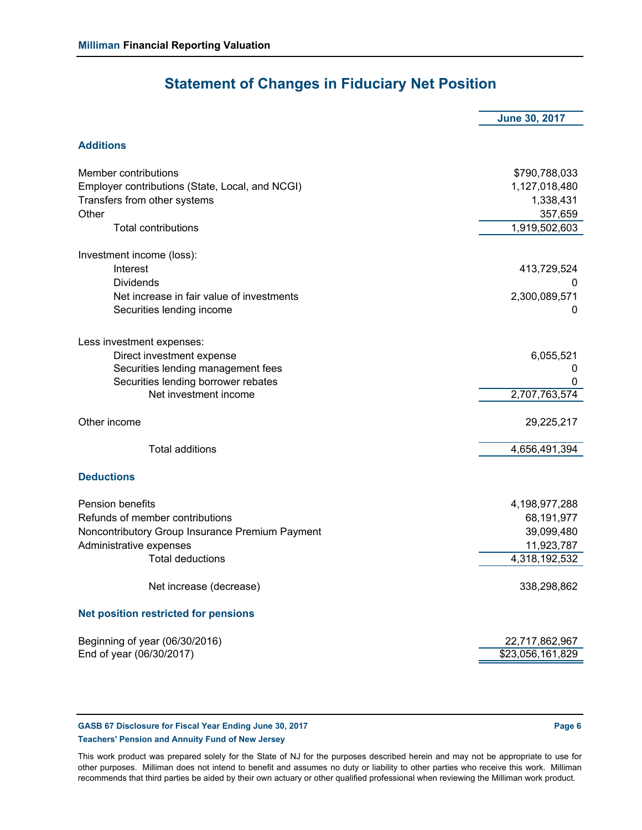# **Statement of Changes in Fiduciary Net Position**

|                                                 | <b>June 30, 2017</b> |
|-------------------------------------------------|----------------------|
|                                                 |                      |
| <b>Additions</b>                                |                      |
| Member contributions                            | \$790,788,033        |
| Employer contributions (State, Local, and NCGI) | 1,127,018,480        |
| Transfers from other systems                    | 1,338,431            |
| Other                                           | 357,659              |
| <b>Total contributions</b>                      | 1,919,502,603        |
| Investment income (loss):                       |                      |
| Interest                                        | 413,729,524          |
| <b>Dividends</b>                                |                      |
| Net increase in fair value of investments       | 2,300,089,571        |
| Securities lending income                       | 0                    |
| Less investment expenses:                       |                      |
| Direct investment expense                       | 6,055,521            |
| Securities lending management fees              | 0                    |
| Securities lending borrower rebates             | 0                    |
| Net investment income                           | 2,707,763,574        |
| Other income                                    | 29,225,217           |
| <b>Total additions</b>                          | 4,656,491,394        |
| <b>Deductions</b>                               |                      |
| <b>Pension benefits</b>                         | 4,198,977,288        |
| Refunds of member contributions                 | 68,191,977           |
| Noncontributory Group Insurance Premium Payment | 39,099,480           |
| Administrative expenses                         | 11,923,787           |
| <b>Total deductions</b>                         | 4,318,192,532        |
| Net increase (decrease)                         | 338,298,862          |
| <b>Net position restricted for pensions</b>     |                      |
| Beginning of year (06/30/2016)                  | 22,717,862,967       |
| End of year (06/30/2017)                        | \$23,056,161,829     |

**GASB 67 Disclosure for Fiscal Year Ending June 30, 2017 Page 6 Teachers' Pension and Annuity Fund of New Jersey**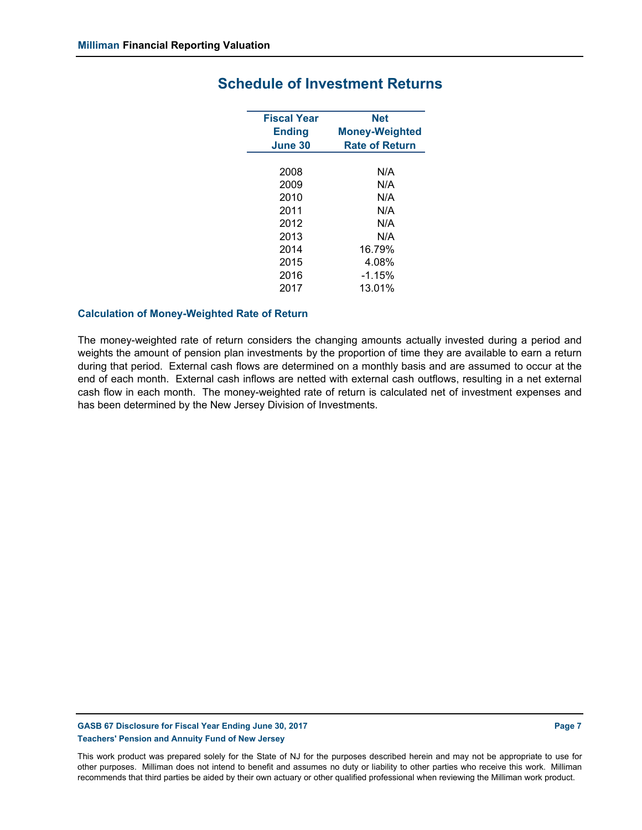| <b>Fiscal Year</b> | <b>Net</b>            |
|--------------------|-----------------------|
| <b>Ending</b>      | <b>Money-Weighted</b> |
| June 30            | <b>Rate of Return</b> |
|                    |                       |
| 2008               | N/A                   |
| 2009               | N/A                   |
| 2010               | N/A                   |
| 2011               | N/A                   |
| 2012               | N/A                   |
| 2013               | N/A                   |
| 2014               | 16.79%                |
| 2015               | 4.08%                 |
| 2016               | $-1.15%$              |
| 2017               | 13.01%                |
|                    |                       |

### **Schedule of Investment Returns**

#### **Calculation of Money-Weighted Rate of Return**

The money-weighted rate of return considers the changing amounts actually invested during a period and weights the amount of pension plan investments by the proportion of time they are available to earn a return during that period. External cash flows are determined on a monthly basis and are assumed to occur at the end of each month. External cash inflows are netted with external cash outflows, resulting in a net external cash flow in each month. The money-weighted rate of return is calculated net of investment expenses and has been determined by the New Jersey Division of Investments.

### **GASB 67 Disclosure for Fiscal Year Ending June 30, 2017 Page 7 Teachers' Pension and Annuity Fund of New Jersey**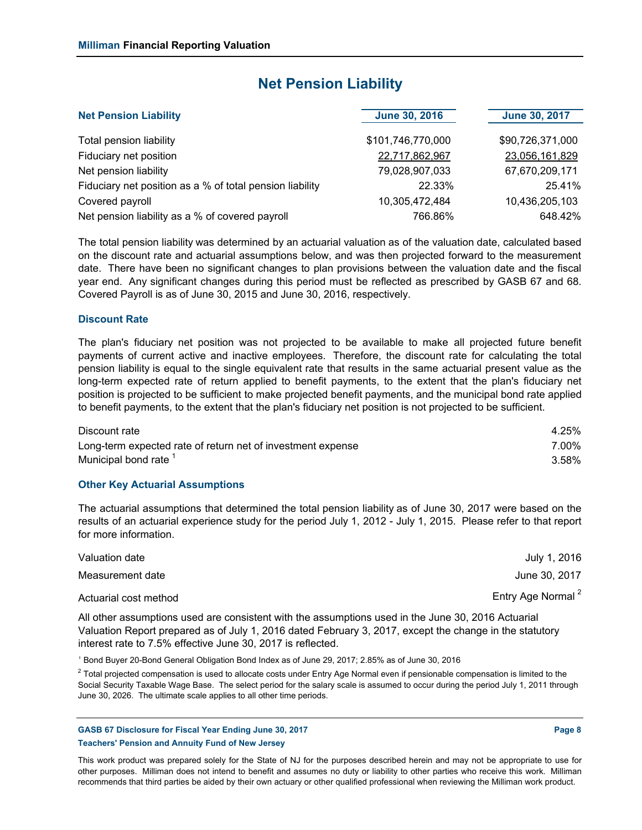### **Net Pension Liability**

| <b>Net Pension Liability</b>                             | <b>June 30, 2016</b> | <b>June 30, 2017</b> |
|----------------------------------------------------------|----------------------|----------------------|
| Total pension liability                                  | \$101,746,770,000    | \$90,726,371,000     |
| Fiduciary net position                                   | 22,717,862,967       | 23,056,161,829       |
| Net pension liability                                    | 79,028,907,033       | 67,670,209,171       |
| Fiduciary net position as a % of total pension liability | 22.33%               | 25.41%               |
| Covered payroll                                          | 10,305,472,484       | 10,436,205,103       |
| Net pension liability as a % of covered payroll          | 766.86%              | 648.42%              |

The total pension liability was determined by an actuarial valuation as of the valuation date, calculated based on the discount rate and actuarial assumptions below, and was then projected forward to the measurement date. There have been no significant changes to plan provisions between the valuation date and the fiscal year end. Any significant changes during this period must be reflected as prescribed by GASB 67 and 68. Covered Payroll is as of June 30, 2015 and June 30, 2016, respectively.

### **Discount Rate**

The plan's fiduciary net position was not projected to be available to make all projected future benefit payments of current active and inactive employees. Therefore, the discount rate for calculating the total pension liability is equal to the single equivalent rate that results in the same actuarial present value as the long-term expected rate of return applied to benefit payments, to the extent that the plan's fiduciary net position is projected to be sufficient to make projected benefit payments, and the municipal bond rate applied to benefit payments, to the extent that the plan's fiduciary net position is not projected to be sufficient.

| Discount rate                                               | 4.25% |
|-------------------------------------------------------------|-------|
| Long-term expected rate of return net of investment expense | 7.00% |
| Municipal bond rate <sup>1</sup>                            | 3.58% |

#### **Other Key Actuarial Assumptions**

The actuarial assumptions that determined the total pension liability as of June 30, 2017 were based on the results of an actuarial experience study for the period July 1, 2012 - July 1, 2015. Please refer to that report for more information.

| Valuation date                                                                                     | July 1, 2016                  |
|----------------------------------------------------------------------------------------------------|-------------------------------|
| Measurement date                                                                                   | June 30, 2017                 |
| Actuarial cost method                                                                              | Entry Age Normal <sup>2</sup> |
| All other assumptions used are consistent with the assumptions used in the June 30, 2016 Actuarial |                               |

All other assumptions used are consistent with the assumptions used in the June 30, 2016 Actuarial Valuation Report prepared as of July 1, 2016 dated February 3, 2017, except the change in the statutory interest rate to 7.5% effective June 30, 2017 is reflected.

<sup>1</sup> Bond Buyer 20-Bond General Obligation Bond Index as of June 29, 2017; 2.85% as of June 30, 2016

 $^2$  Total projected compensation is used to allocate costs under Entry Age Normal even if pensionable compensation is limited to the Social Security Taxable Wage Base. The select period for the salary scale is assumed to occur during the period July 1, 2011 through June 30, 2026. The ultimate scale applies to all other time periods.

**GASB 67 Disclosure for Fiscal Year Ending June 30, 2017 Page 8 Teachers' Pension and Annuity Fund of New Jersey**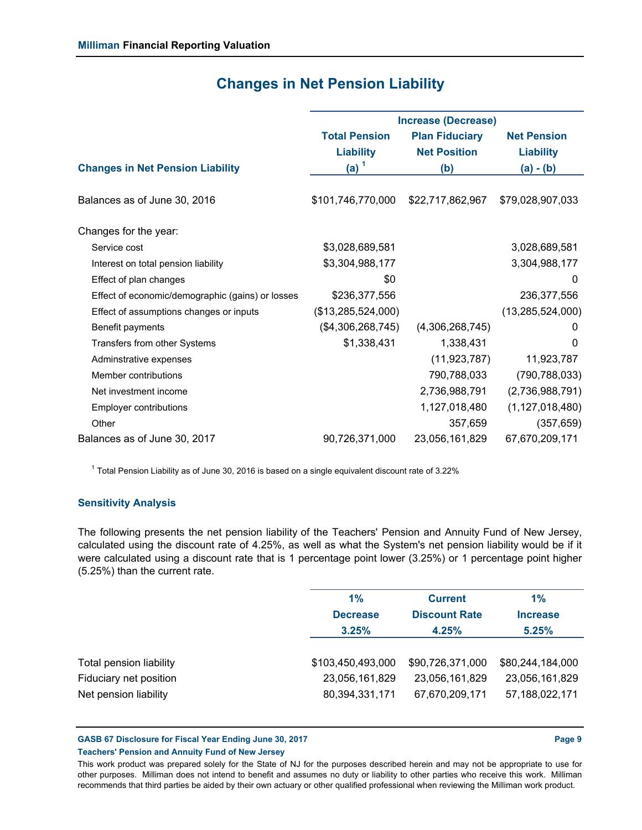|                                                  | <b>Increase (Decrease)</b> |                       |                     |  |  |
|--------------------------------------------------|----------------------------|-----------------------|---------------------|--|--|
|                                                  | <b>Total Pension</b>       | <b>Plan Fiduciary</b> | <b>Net Pension</b>  |  |  |
|                                                  | <b>Liability</b>           | <b>Net Position</b>   | <b>Liability</b>    |  |  |
| <b>Changes in Net Pension Liability</b>          | (a) $1$                    | (b)                   | $(a) - (b)$         |  |  |
|                                                  |                            |                       |                     |  |  |
| Balances as of June 30, 2016                     | \$101,746,770,000          | \$22,717,862,967      | \$79,028,907,033    |  |  |
|                                                  |                            |                       |                     |  |  |
| Changes for the year:                            |                            |                       |                     |  |  |
| Service cost                                     | \$3,028,689,581            |                       | 3,028,689,581       |  |  |
| Interest on total pension liability              | \$3,304,988,177            |                       | 3,304,988,177       |  |  |
| Effect of plan changes                           | \$0                        |                       | 0                   |  |  |
| Effect of economic/demographic (gains) or losses | \$236,377,556              |                       | 236,377,556         |  |  |
| Effect of assumptions changes or inputs          | (\$13,285,524,000)         |                       | (13, 285, 524, 000) |  |  |
| Benefit payments                                 | (\$4,306,268,745)          | (4,306,268,745)       | 0                   |  |  |
| Transfers from other Systems                     | \$1,338,431                | 1,338,431             | $\Omega$            |  |  |
| Adminstrative expenses                           |                            | (11, 923, 787)        | 11,923,787          |  |  |
| Member contributions                             |                            | 790,788,033           | (790, 788, 033)     |  |  |
| Net investment income                            |                            | 2,736,988,791         | (2,736,988,791)     |  |  |
| <b>Employer contributions</b>                    |                            | 1,127,018,480         | (1, 127, 018, 480)  |  |  |
| Other                                            |                            | 357,659               | (357, 659)          |  |  |
| Balances as of June 30, 2017                     | 90,726,371,000             | 23,056,161,829        | 67,670,209,171      |  |  |
|                                                  |                            |                       |                     |  |  |

### **Changes in Net Pension Liability**

 $^1$  Total Pension Liability as of June 30, 2016 is based on a single equivalent discount rate of 3.22%

### **Sensitivity Analysis**

The following presents the net pension liability of the Teachers' Pension and Annuity Fund of New Jersey, calculated using the discount rate of 4.25%, as well as what the System's net pension liability would be if it were calculated using a discount rate that is 1 percentage point lower (3.25%) or 1 percentage point higher (5.25%) than the current rate.

|                         | 1%                | <b>Current</b>       | 1%               |
|-------------------------|-------------------|----------------------|------------------|
|                         | <b>Decrease</b>   | <b>Discount Rate</b> | <b>Increase</b>  |
|                         | 3.25%             | 4.25%                | 5.25%            |
|                         |                   |                      |                  |
| Total pension liability | \$103,450,493,000 | \$90,726,371,000     | \$80,244,184,000 |
| Fiduciary net position  | 23,056,161,829    | 23,056,161,829       | 23,056,161,829   |
| Net pension liability   | 80,394,331,171    | 67,670,209,171       | 57,188,022,171   |
|                         |                   |                      |                  |

**GASB 67 Disclosure for Fiscal Year Ending June 30, 2017 Page 9**

#### **Teachers' Pension and Annuity Fund of New Jersey**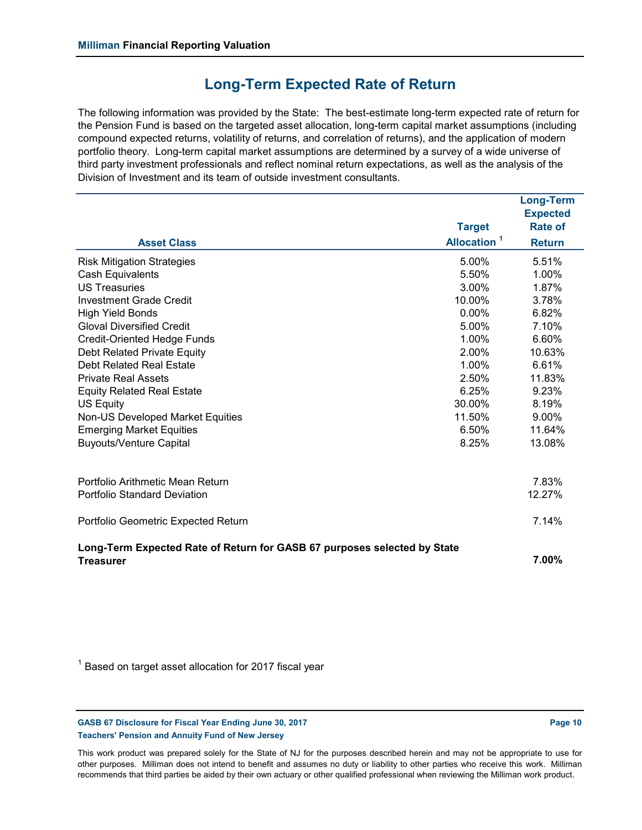### **Long-Term Expected Rate of Return**

The following information was provided by the State: The best-estimate long-term expected rate of return for the Pension Fund is based on the targeted asset allocation, long-term capital market assumptions (including compound expected returns, volatility of returns, and correlation of returns), and the application of modern portfolio theory. Long-term capital market assumptions are determined by a survey of a wide universe of third party investment professionals and reflect nominal return expectations, as well as the analysis of the Division of Investment and its team of outside investment consultants.

|                                                                                              |                         | <b>Long-Term</b>                  |
|----------------------------------------------------------------------------------------------|-------------------------|-----------------------------------|
|                                                                                              | <b>Target</b>           | <b>Expected</b><br><b>Rate of</b> |
| <b>Asset Class</b>                                                                           | Allocation <sup>1</sup> | <b>Return</b>                     |
| <b>Risk Mitigation Strategies</b>                                                            | 5.00%                   | 5.51%                             |
| <b>Cash Equivalents</b>                                                                      | 5.50%                   | 1.00%                             |
| <b>US Treasuries</b>                                                                         | 3.00%                   | 1.87%                             |
| <b>Investment Grade Credit</b>                                                               | 10.00%                  | 3.78%                             |
| <b>High Yield Bonds</b>                                                                      | $0.00\%$                | 6.82%                             |
| <b>Gloval Diversified Credit</b>                                                             | 5.00%                   | 7.10%                             |
| <b>Credit-Oriented Hedge Funds</b>                                                           | 1.00%                   | 6.60%                             |
| Debt Related Private Equity                                                                  | 2.00%                   | 10.63%                            |
| Debt Related Real Estate                                                                     | 1.00%                   | 6.61%                             |
| <b>Private Real Assets</b>                                                                   | 2.50%                   | 11.83%                            |
| <b>Equity Related Real Estate</b>                                                            | 6.25%                   | 9.23%                             |
| <b>US Equity</b>                                                                             | 30.00%                  | 8.19%                             |
| Non-US Developed Market Equities                                                             | 11.50%                  | 9.00%                             |
| <b>Emerging Market Equities</b>                                                              | 6.50%                   | 11.64%                            |
| <b>Buyouts/Venture Capital</b>                                                               | 8.25%                   | 13.08%                            |
| Portfolio Arithmetic Mean Return                                                             |                         | 7.83%                             |
| <b>Portfolio Standard Deviation</b>                                                          |                         | 12.27%                            |
| Portfolio Geometric Expected Return                                                          |                         | 7.14%                             |
| Long-Term Expected Rate of Return for GASB 67 purposes selected by State<br><b>Treasurer</b> |                         | 7.00%                             |

 $^\mathrm{1}$  Based on target asset allocation for 2017 fiscal year

GASB 67 Disclosure for Fiscal Year Ending June 30, 2017 **Page 10 Page 10 Page 10** 

**Teachers' Pension and Annuity Fund of New Jersey**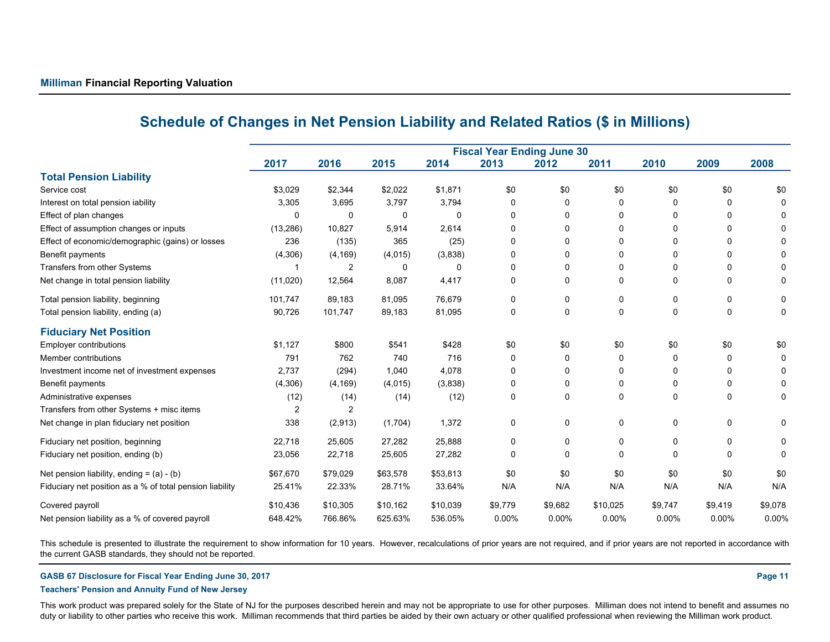|                                                          | <b>Fiscal Year Ending June 30</b> |                |          |          |             |          |          |             |              |          |
|----------------------------------------------------------|-----------------------------------|----------------|----------|----------|-------------|----------|----------|-------------|--------------|----------|
|                                                          | 2017                              | 2016           | 2015     | 2014     | 2013        | 2012     | 2011     | 2010        | 2009         | 2008     |
| <b>Total Pension Liability</b>                           |                                   |                |          |          |             |          |          |             |              |          |
| Service cost                                             | \$3,029                           | \$2,344        | \$2,022  | \$1,871  | \$0         | \$0      | \$0      | \$0         | \$0          | \$0      |
| Interest on total pension iability                       | 3,305                             | 3,695          | 3,797    | 3,794    | 0           | 0        | 0        | O           | 0            |          |
| Effect of plan changes                                   | 0                                 | 0              | 0        | $\Omega$ | $\Omega$    | 0        | 0        |             | 0            |          |
| Effect of assumption changes or inputs                   | (13, 286)                         | 10,827         | 5,914    | 2,614    | 0           | 0        | 0        | O           | 0            |          |
| Effect of economic/demographic (gains) or losses         | 236                               | (135)          | 365      | (25)     | 0           | 0        | 0        |             | 0            |          |
| Benefit payments                                         | (4,306)                           | (4, 169)       | (4,015)  | (3,838)  | 0           | 0        | 0        |             | 0            |          |
| Transfers from other Systems                             |                                   | 2              | 0        |          | $\Omega$    | 0        | 0        | 0           | 0            |          |
| Net change in total pension liability                    | (11,020)                          | 12,564         | 8,087    | 4,417    | 0           | 0        | 0        | 0           | $\Omega$     | 0        |
| Total pension liability, beginning                       | 101,747                           | 89,183         | 81,095   | 76,679   | 0           | 0        | 0        | 0           | 0            | 0        |
| Total pension liability, ending (a)                      | 90,726                            | 101,747        | 89,183   | 81,095   | 0           | 0        | 0        | $\mathbf 0$ | 0            | $\Omega$ |
| <b>Fiduciary Net Position</b>                            |                                   |                |          |          |             |          |          |             |              |          |
| Employer contributions                                   | \$1,127                           | \$800          | \$541    | \$428    | \$0         | \$0      | \$0      | \$0         | \$0          | \$0      |
| Member contributions                                     | 791                               | 762            | 740      | 716      | 0           | 0        | 0        | $\Omega$    | 0            |          |
| Investment income net of investment expenses             | 2,737                             | (294)          | 1,040    | 4,078    | 0           | 0        | 0        | ŋ           | 0            |          |
| Benefit payments                                         | (4,306)                           | (4, 169)       | (4,015)  | (3,838)  | 0           | 0        | 0        |             | 0            |          |
| Administrative expenses                                  | (12)                              | (14)           | (14)     | (12)     | $\mathbf 0$ | $\Omega$ | 0        | $\Omega$    | $\Omega$     | 0        |
| Transfers from other Systems + misc items                | $\overline{2}$                    | $\overline{2}$ |          |          |             |          |          |             |              |          |
| Net change in plan fiduciary net position                | 338                               | (2,913)        | (1,704)  | 1,372    | 0           | 0        | 0        | 0           | $\mathbf{0}$ | 0        |
| Fiduciary net position, beginning                        | 22,718                            | 25,605         | 27,282   | 25,888   | 0           | 0        | 0        | 0           | 0            | 0        |
| Fiduciary net position, ending (b)                       | 23,056                            | 22,718         | 25,605   | 27,282   | $\Omega$    | 0        | 0        | $\Omega$    | 0            | $\Omega$ |
| Net pension liability, ending $=$ (a) - (b)              | \$67,670                          | \$79,029       | \$63,578 | \$53,813 | \$0         | \$0      | \$0      | \$0         | \$0          | \$0      |
| Fiduciary net position as a % of total pension liability | 25.41%                            | 22.33%         | 28.71%   | 33.64%   | N/A         | N/A      | N/A      | N/A         | N/A          | N/A      |
| Covered payroll                                          | \$10,436                          | \$10,305       | \$10,162 | \$10,039 | \$9,779     | \$9,682  | \$10,025 | \$9,747     | \$9,419      | \$9,078  |
| Net pension liability as a % of covered payroll          | 648.42%                           | 766.86%        | 625.63%  | 536.05%  | 0.00%       | 0.00%    | $0.00\%$ | 0.00%       | 0.00%        | 0.00%    |

### **Schedule of Changes in Net Pension Liability and Related Ratios (\$ in Millions)**

This schedule is presented to illustrate the requirement to show information for 10 years. However, recalculations of prior years are not required, and if prior years are not reported in accordance with the current GASB standards, they should not be reported.

**GASB 67 Disclosure for Fiscal Year Ending June 30, 2017 Page 11**

#### **Teachers' Pension and Annuity Fund of New Jersey**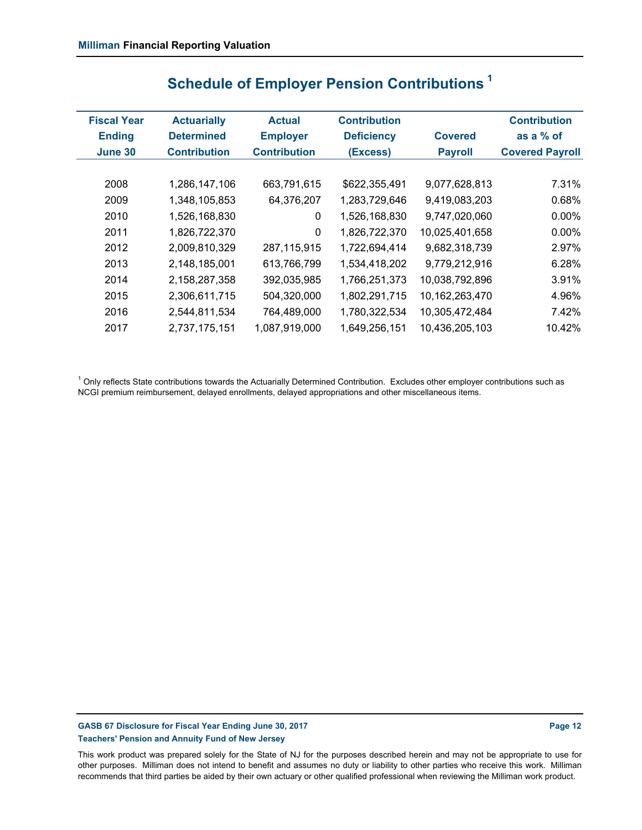| <b>Fiscal Year</b><br><b>Ending</b> | <b>Actuarially</b><br><b>Determined</b> | <b>Actual</b><br><b>Employer</b> | <b>Contribution</b><br><b>Deficiency</b> | <b>Covered</b> | <b>Contribution</b><br>as a $%$ of |
|-------------------------------------|-----------------------------------------|----------------------------------|------------------------------------------|----------------|------------------------------------|
| June 30                             | <b>Contribution</b>                     | <b>Contribution</b>              | (Excess)                                 | <b>Payroll</b> | <b>Covered Payroll</b>             |
|                                     |                                         |                                  |                                          |                |                                    |
| 2008                                | 1,286,147,106                           | 663,791,615                      | \$622,355,491                            | 9,077,628,813  | 7.31%                              |
| 2009                                | 1,348,105,853                           | 64,376,207                       | 1,283,729,646                            | 9,419,083,203  | 0.68%                              |
| 2010                                | 1,526,168,830                           | 0                                | 1,526,168,830                            | 9,747,020,060  | 0.00%                              |
| 2011                                | 1,826,722,370                           | 0                                | 1,826,722,370                            | 10,025,401,658 | $0.00\%$                           |
| 2012                                | 2,009,810,329                           | 287,115,915                      | 1,722,694,414                            | 9,682,318,739  | 2.97%                              |
| 2013                                | 2,148,185,001                           | 613,766,799                      | 1,534,418,202                            | 9,779,212,916  | 6.28%                              |
| 2014                                | 2,158,287,358                           | 392,035,985                      | 1,766,251,373                            | 10,038,792,896 | 3.91%                              |
| 2015                                | 2,306,611,715                           | 504,320,000                      | 1,802,291,715                            | 10,162,263,470 | 4.96%                              |
| 2016                                | 2,544,811,534                           | 764,489,000                      | 1,780,322,534                            | 10,305,472,484 | 7.42%                              |
| 2017                                | 2,737,175,151                           | 1,087,919,000                    | 1,649,256,151                            | 10,436,205,103 | 10.42%                             |

# **Schedule of Employer Pension Contributions 1**

 $^{\rm 1}$  Only reflects State contributions towards the Actuarially Determined Contribution. Excludes other employer contributions such as NCGI premium reimbursement, delayed enrollments, delayed appropriations and other miscellaneous items.

**GASB 67 Disclosure for Fiscal Year Ending June 30, 2017 Page 12 Page 12 Page 12 Teachers' Pension and Annuity Fund of New Jersey**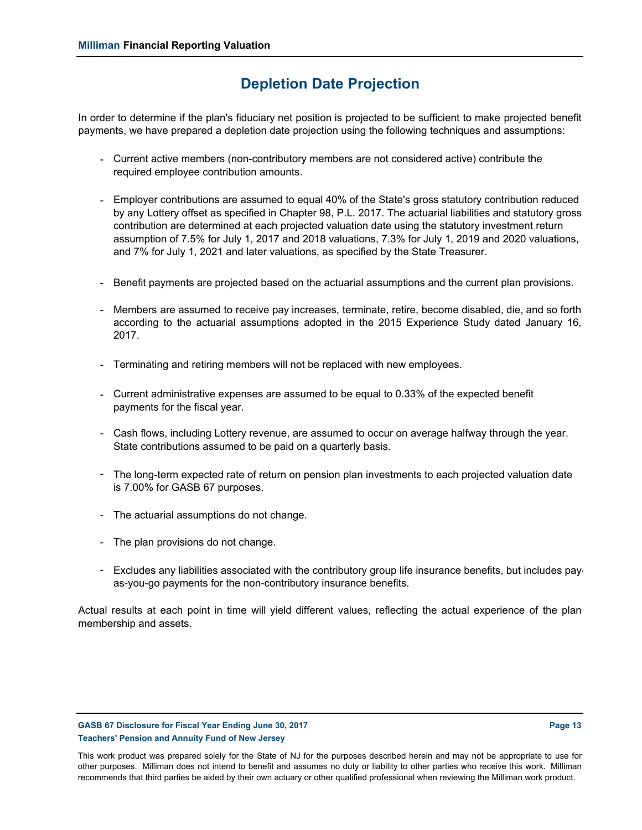### **Depletion Date Projection**

In order to determine if the plan's fiduciary net position is projected to be sufficient to make projected benefit payments, we have prepared a depletion date projection using the following techniques and assumptions:

- Current active members (non-contributory members are not considered active) contribute the required employee contribution amounts.
- Employer contributions are assumed to equal 40% of the State's gross statutory contribution reduced by any Lottery offset as specified in Chapter 98, P.L. 2017. The actuarial liabilities and statutory gross contribution are determined at each projected valuation date using the statutory investment return assumption of 7.5% for July 1, 2017 and 2018 valuations, 7.3% for July 1, 2019 and 2020 valuations, and 7% for July 1, 2021 and later valuations, as specified by the State Treasurer.
- Benefit payments are projected based on the actuarial assumptions and the current plan provisions.
- Members are assumed to receive pay increases, terminate, retire, become disabled, die, and so forth according to the actuarial assumptions adopted in the 2015 Experience Study dated January 16, 2017.
- Terminating and retiring members will not be replaced with new employees.
- Current administrative expenses are assumed to be equal to 0.33% of the expected benefit payments for the fiscal year.
- Cash flows, including Lottery revenue, are assumed to occur on average halfway through the year. State contributions assumed to be paid on a quarterly basis.
- The long-term expected rate of return on pension plan investments to each projected valuation date is 7.00% for GASB 67 purposes.
- The actuarial assumptions do not change.
- The plan provisions do not change.
- Excludes any liabilities associated with the contributory group life insurance benefits, but includes payas-you-go payments for the non-contributory insurance benefits.

Actual results at each point in time will yield different values, reflecting the actual experience of the plan membership and assets.

#### GASB 67 Disclosure for Fiscal Year Ending June 30, 2017 **Page 13** Assembly 2018 **Page 13 Teachers' Pension and Annuity Fund of New Jersey**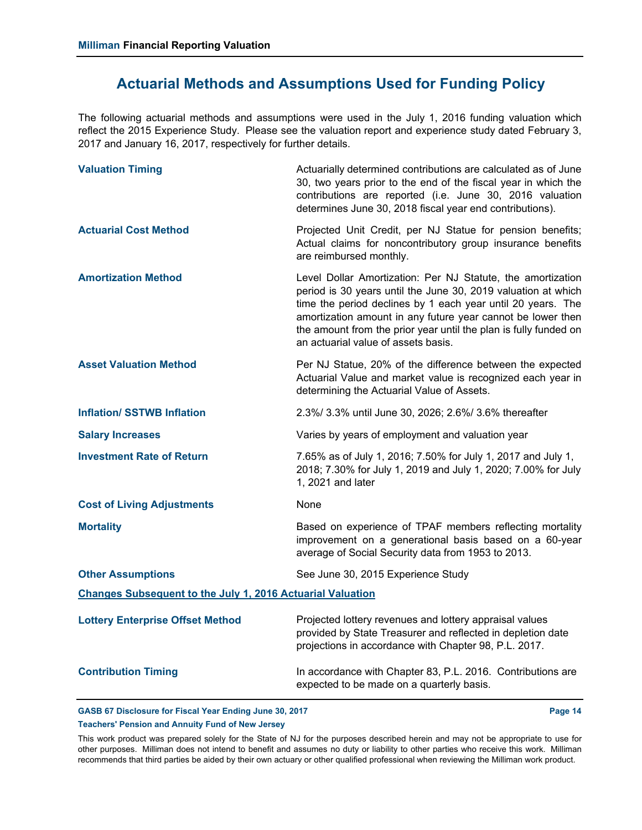### **Actuarial Methods and Assumptions Used for Funding Policy**

The following actuarial methods and assumptions were used in the July 1, 2016 funding valuation which reflect the 2015 Experience Study. Please see the valuation report and experience study dated February 3, 2017 and January 16, 2017, respectively for further details.

| <b>Valuation Timing</b>                                           | Actuarially determined contributions are calculated as of June<br>30, two years prior to the end of the fiscal year in which the<br>contributions are reported (i.e. June 30, 2016 valuation<br>determines June 30, 2018 fiscal year end contributions).                                                                                                              |  |  |
|-------------------------------------------------------------------|-----------------------------------------------------------------------------------------------------------------------------------------------------------------------------------------------------------------------------------------------------------------------------------------------------------------------------------------------------------------------|--|--|
| <b>Actuarial Cost Method</b>                                      | Projected Unit Credit, per NJ Statue for pension benefits;<br>Actual claims for noncontributory group insurance benefits<br>are reimbursed monthly.                                                                                                                                                                                                                   |  |  |
| <b>Amortization Method</b>                                        | Level Dollar Amortization: Per NJ Statute, the amortization<br>period is 30 years until the June 30, 2019 valuation at which<br>time the period declines by 1 each year until 20 years. The<br>amortization amount in any future year cannot be lower then<br>the amount from the prior year until the plan is fully funded on<br>an actuarial value of assets basis. |  |  |
| <b>Asset Valuation Method</b>                                     | Per NJ Statue, 20% of the difference between the expected<br>Actuarial Value and market value is recognized each year in<br>determining the Actuarial Value of Assets.                                                                                                                                                                                                |  |  |
| <b>Inflation/ SSTWB Inflation</b>                                 | 2.3%/ 3.3% until June 30, 2026; 2.6%/ 3.6% thereafter                                                                                                                                                                                                                                                                                                                 |  |  |
| <b>Salary Increases</b>                                           | Varies by years of employment and valuation year                                                                                                                                                                                                                                                                                                                      |  |  |
| <b>Investment Rate of Return</b>                                  | 7.65% as of July 1, 2016; 7.50% for July 1, 2017 and July 1,<br>2018; 7.30% for July 1, 2019 and July 1, 2020; 7.00% for July<br>1, 2021 and later                                                                                                                                                                                                                    |  |  |
| <b>Cost of Living Adjustments</b>                                 | None                                                                                                                                                                                                                                                                                                                                                                  |  |  |
| <b>Mortality</b>                                                  | Based on experience of TPAF members reflecting mortality<br>improvement on a generational basis based on a 60-year<br>average of Social Security data from 1953 to 2013.                                                                                                                                                                                              |  |  |
| <b>Other Assumptions</b>                                          | See June 30, 2015 Experience Study                                                                                                                                                                                                                                                                                                                                    |  |  |
| <b>Changes Subsequent to the July 1, 2016 Actuarial Valuation</b> |                                                                                                                                                                                                                                                                                                                                                                       |  |  |
| <b>Lottery Enterprise Offset Method</b>                           | Projected lottery revenues and lottery appraisal values<br>provided by State Treasurer and reflected in depletion date<br>projections in accordance with Chapter 98, P.L. 2017.                                                                                                                                                                                       |  |  |
| <b>Contribution Timing</b>                                        | In accordance with Chapter 83, P.L. 2016. Contributions are<br>expected to be made on a quarterly basis.                                                                                                                                                                                                                                                              |  |  |

### GASB 67 Disclosure for Fiscal Year Ending June 30, 2017 **Page 14** Page 14 **Teachers' Pension and Annuity Fund of New Jersey**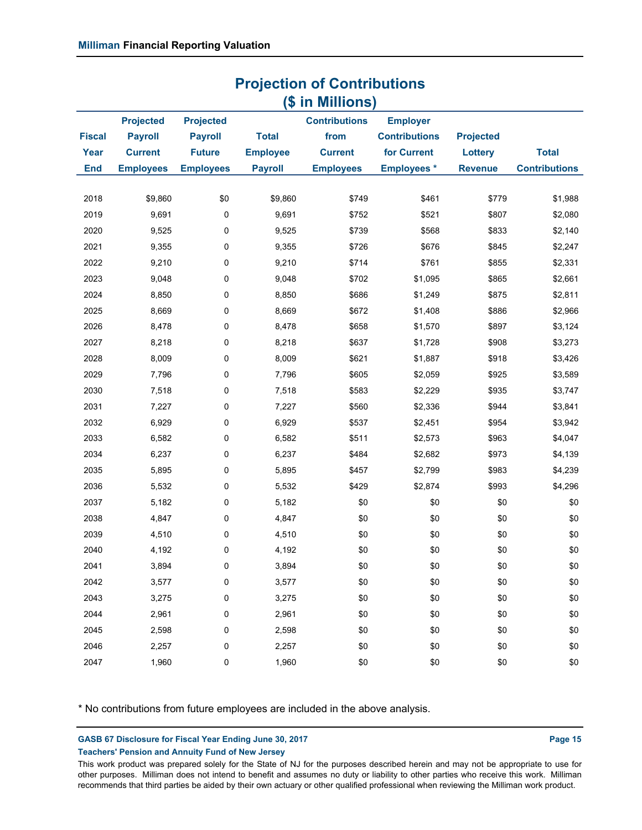|               | (\$ in Millions) |                  |                 |                      |                      |                  |                      |
|---------------|------------------|------------------|-----------------|----------------------|----------------------|------------------|----------------------|
|               | <b>Projected</b> | <b>Projected</b> |                 | <b>Contributions</b> | <b>Employer</b>      |                  |                      |
| <b>Fiscal</b> | <b>Payroll</b>   | <b>Payroll</b>   | <b>Total</b>    | from                 | <b>Contributions</b> | <b>Projected</b> |                      |
| Year          | <b>Current</b>   | <b>Future</b>    | <b>Employee</b> | <b>Current</b>       | for Current          | Lottery          | <b>Total</b>         |
| <b>End</b>    | <b>Employees</b> | <b>Employees</b> | <b>Payroll</b>  | <b>Employees</b>     | <b>Employees*</b>    | <b>Revenue</b>   | <b>Contributions</b> |
|               |                  |                  |                 |                      |                      |                  |                      |
| 2018          | \$9,860          | \$0              | \$9,860         | \$749                | \$461                | \$779            | \$1,988              |
| 2019          | 9,691            | 0                | 9,691           | \$752                | \$521                | \$807            | \$2,080              |
| 2020          | 9,525            | 0                | 9,525           | \$739                | \$568                | \$833            | \$2,140              |
| 2021          | 9,355            | 0                | 9,355           | \$726                | \$676                | \$845            | \$2,247              |
| 2022          | 9,210            | 0                | 9,210           | \$714                | \$761                | \$855            | \$2,331              |
| 2023          | 9,048            | 0                | 9,048           | \$702                | \$1,095              | \$865            | \$2,661              |
| 2024          | 8,850            | 0                | 8,850           | \$686                | \$1,249              | \$875            | \$2,811              |
| 2025          | 8,669            | 0                | 8,669           | \$672                | \$1,408              | \$886            | \$2,966              |
| 2026          | 8,478            | 0                | 8,478           | \$658                | \$1,570              | \$897            | \$3,124              |
| 2027          | 8,218            | 0                | 8,218           | \$637                | \$1,728              | \$908            | \$3,273              |
| 2028          | 8,009            | 0                | 8,009           | \$621                | \$1,887              | \$918            | \$3,426              |
| 2029          | 7,796            | 0                | 7,796           | \$605                | \$2,059              | \$925            | \$3,589              |
| 2030          | 7,518            | 0                | 7,518           | \$583                | \$2,229              | \$935            | \$3,747              |
| 2031          | 7,227            | 0                | 7,227           | \$560                | \$2,336              | \$944            | \$3,841              |
| 2032          | 6,929            | 0                | 6,929           | \$537                | \$2,451              | \$954            | \$3,942              |
| 2033          | 6,582            | 0                | 6,582           | \$511                | \$2,573              | \$963            | \$4,047              |
| 2034          | 6,237            | 0                | 6,237           | \$484                | \$2,682              | \$973            | \$4,139              |
| 2035          | 5,895            | 0                | 5,895           | \$457                | \$2,799              | \$983            | \$4,239              |
| 2036          | 5,532            | 0                | 5,532           | \$429                | \$2,874              | \$993            | \$4,296              |
| 2037          | 5,182            | 0                | 5,182           | \$0                  | \$0                  | \$0              | \$0                  |
| 2038          | 4,847            | $\pmb{0}$        | 4,847           | \$0                  | \$0                  | \$0              | \$0                  |
| 2039          | 4,510            | 0                | 4,510           | \$0                  | \$0                  | \$0              | \$0                  |
| 2040          | 4,192            | 0                | 4,192           | \$0                  | \$0                  | \$0              | \$0                  |
| 2041          | 3,894            | 0                | 3,894           | \$0                  | \$0                  | \$0              | \$0                  |
| 2042          | 3,577            | $\pmb{0}$        | 3,577           | \$0                  | \$0                  | \$0              | \$0                  |
| 2043          | 3,275            | 0                | 3,275           | \$0                  | \$0                  | \$0              | \$0                  |
| 2044          | 2,961            | 0                | 2,961           | \$0                  | \$0                  | \$0              | \$0                  |
| 2045          | 2,598            | 0                | 2,598           | \$0                  | \$0                  | \$0              | \$0                  |
| 2046          | 2,257            | 0                | 2,257           | \$0                  | \$0                  | \$0              | \$0                  |
| 2047          | 1,960            | 0                | 1,960           | \$0                  | \$0                  | \$0              | \$0                  |

**Projection of Contributions**

\* No contributions from future employees are included in the above analysis.

GASB 67 Disclosure for Fiscal Year Ending June 30, 2017 **Page 15 Page 15** 

**Teachers' Pension and Annuity Fund of New Jersey**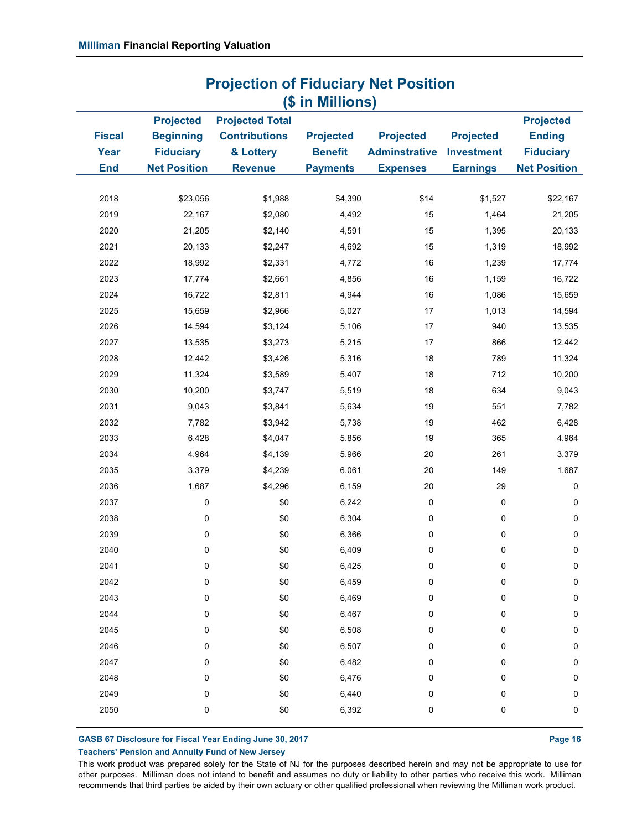|                                     |                                                                                 |                                                                               | (\$ in Millions)                                      |                                                             |                                                          |                                                                              |
|-------------------------------------|---------------------------------------------------------------------------------|-------------------------------------------------------------------------------|-------------------------------------------------------|-------------------------------------------------------------|----------------------------------------------------------|------------------------------------------------------------------------------|
| <b>Fiscal</b><br>Year<br><b>End</b> | <b>Projected</b><br><b>Beginning</b><br><b>Fiduciary</b><br><b>Net Position</b> | <b>Projected Total</b><br><b>Contributions</b><br>& Lottery<br><b>Revenue</b> | <b>Projected</b><br><b>Benefit</b><br><b>Payments</b> | <b>Projected</b><br><b>Adminstrative</b><br><b>Expenses</b> | <b>Projected</b><br><b>Investment</b><br><b>Earnings</b> | <b>Projected</b><br><b>Ending</b><br><b>Fiduciary</b><br><b>Net Position</b> |
|                                     |                                                                                 |                                                                               |                                                       |                                                             |                                                          |                                                                              |
| 2018                                | \$23,056                                                                        | \$1,988                                                                       | \$4,390                                               | \$14                                                        | \$1,527                                                  | \$22,167                                                                     |
| 2019                                | 22,167                                                                          | \$2,080                                                                       | 4,492                                                 | 15                                                          | 1,464                                                    | 21,205                                                                       |
| 2020                                | 21,205                                                                          | \$2,140                                                                       | 4,591                                                 | 15                                                          | 1,395                                                    | 20,133                                                                       |
| 2021                                | 20,133                                                                          | \$2,247                                                                       | 4,692                                                 | 15                                                          | 1,319                                                    | 18,992                                                                       |
| 2022                                | 18,992                                                                          | \$2,331                                                                       | 4,772                                                 | 16                                                          | 1,239                                                    | 17,774                                                                       |
| 2023                                | 17,774                                                                          | \$2,661                                                                       | 4,856                                                 | 16                                                          | 1,159                                                    | 16,722                                                                       |
| 2024                                | 16,722                                                                          | \$2,811                                                                       | 4,944                                                 | 16                                                          | 1,086                                                    | 15,659                                                                       |
| 2025                                | 15,659                                                                          | \$2,966                                                                       | 5,027                                                 | 17                                                          | 1,013                                                    | 14,594                                                                       |
| 2026                                | 14,594                                                                          | \$3,124                                                                       | 5,106                                                 | 17                                                          | 940                                                      | 13,535                                                                       |
| 2027                                | 13,535                                                                          | \$3,273                                                                       | 5,215                                                 | 17                                                          | 866                                                      | 12,442                                                                       |
| 2028                                | 12,442                                                                          | \$3,426                                                                       | 5,316                                                 | $18$                                                        | 789                                                      | 11,324                                                                       |
| 2029                                | 11,324                                                                          | \$3,589                                                                       | 5,407                                                 | 18                                                          | 712                                                      | 10,200                                                                       |
| 2030                                | 10,200                                                                          | \$3,747                                                                       | 5,519                                                 | 18                                                          | 634                                                      | 9,043                                                                        |
| 2031                                | 9,043                                                                           | \$3,841                                                                       | 5,634                                                 | 19                                                          | 551                                                      | 7,782                                                                        |
| 2032                                | 7,782                                                                           | \$3,942                                                                       | 5,738                                                 | 19                                                          | 462                                                      | 6,428                                                                        |
| 2033                                | 6,428                                                                           | \$4,047                                                                       | 5,856                                                 | 19                                                          | 365                                                      | 4,964                                                                        |
| 2034                                | 4,964                                                                           | \$4,139                                                                       | 5,966                                                 | $20\,$                                                      | 261                                                      | 3,379                                                                        |
| 2035                                | 3,379                                                                           | \$4,239                                                                       | 6,061                                                 | $20\,$                                                      | 149                                                      | 1,687                                                                        |
| 2036                                | 1,687                                                                           | \$4,296                                                                       | 6,159                                                 | $20\,$                                                      | 29                                                       | $\pmb{0}$                                                                    |
| 2037                                | $\pmb{0}$                                                                       | \$0                                                                           | 6,242                                                 | $\pmb{0}$                                                   | 0                                                        | $\pmb{0}$                                                                    |
| 2038                                | 0                                                                               | \$0                                                                           | 6,304                                                 | $\pmb{0}$                                                   | 0                                                        | $\pmb{0}$                                                                    |
| 2039                                | $\pmb{0}$                                                                       | \$0                                                                           | 6,366                                                 | $\pmb{0}$                                                   | 0                                                        | $\pmb{0}$                                                                    |
| 2040                                | 0                                                                               | \$0                                                                           | 6,409                                                 | 0                                                           | 0                                                        | $\pmb{0}$                                                                    |
| 2041                                | 0                                                                               | \$0                                                                           | 6,425                                                 | 0                                                           | 0                                                        | 0                                                                            |
| 2042                                | $\pmb{0}$                                                                       | \$0                                                                           | 6,459                                                 | 0                                                           | 0                                                        | $\pmb{0}$                                                                    |
| 2043                                | 0                                                                               | \$0                                                                           | 6,469                                                 | 0                                                           | 0                                                        | 0                                                                            |
| 2044                                | 0                                                                               | \$0                                                                           | 6,467                                                 | 0                                                           | 0                                                        | $\pmb{0}$                                                                    |
| 2045                                | 0                                                                               | \$0                                                                           | 6,508                                                 | 0                                                           | 0                                                        | 0                                                                            |
| 2046                                | 0                                                                               | \$0                                                                           | 6,507                                                 | 0                                                           | 0                                                        | 0                                                                            |
| 2047                                | 0                                                                               | \$0                                                                           | 6,482                                                 | 0                                                           | 0                                                        | 0                                                                            |
| 2048                                | 0                                                                               | \$0                                                                           | 6,476                                                 | 0                                                           | 0                                                        | 0                                                                            |
| 2049                                | 0                                                                               | \$0                                                                           | 6,440                                                 | 0                                                           | 0                                                        | 0                                                                            |
| 2050                                | 0                                                                               | \$0                                                                           | 6,392                                                 | 0                                                           | 0                                                        | $\pmb{0}$                                                                    |
|                                     |                                                                                 |                                                                               |                                                       |                                                             |                                                          |                                                                              |

# **Projection of Fiduciary Net Position**

GASB 67 Disclosure for Fiscal Year Ending June 30, 2017 **Page 16** Assembly 2018 **Page 16** 

#### **Teachers' Pension and Annuity Fund of New Jersey**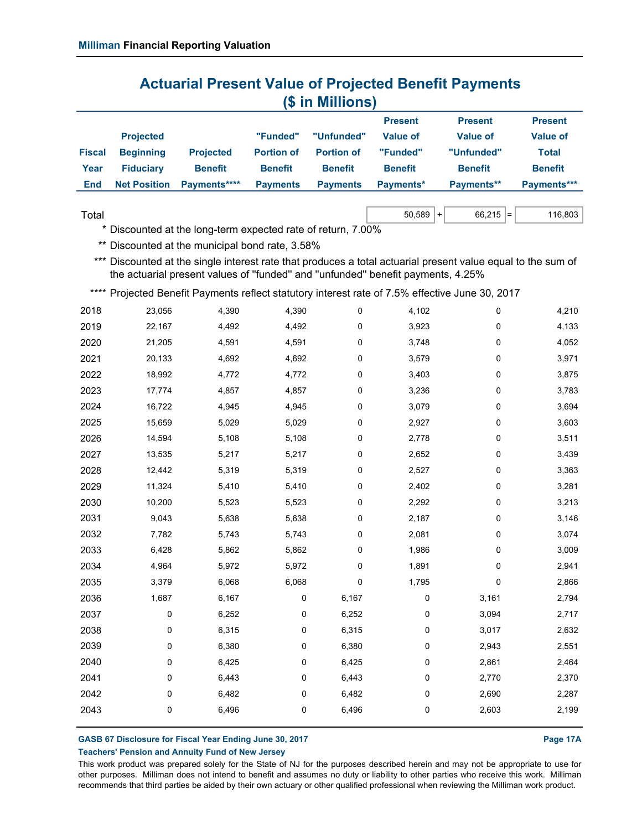|               |                     |                  |                   |                   | <b>Present</b>  | <b>Present</b>    | <b>Present</b>  |
|---------------|---------------------|------------------|-------------------|-------------------|-----------------|-------------------|-----------------|
|               | <b>Projected</b>    |                  | "Funded"          | "Unfunded"        | <b>Value of</b> | Value of          | <b>Value of</b> |
| <b>Fiscal</b> | <b>Beginning</b>    | <b>Projected</b> | <b>Portion of</b> | <b>Portion of</b> | "Funded"        | "Unfunded"        | Total           |
| Year          | <b>Fiduciary</b>    | <b>Benefit</b>   | <b>Benefit</b>    | <b>Benefit</b>    | <b>Benefit</b>  | <b>Benefit</b>    | <b>Benefit</b>  |
| End           | <b>Net Position</b> | Payments****     | <b>Payments</b>   | <b>Payments</b>   | Payments*       | <b>Payments**</b> | Payments***     |
|               |                     |                  |                   |                   |                 |                   |                 |

 $\textsf{Total} \quad \textsf{50,589 } + \mid \textsf{66,215 } = \mid \textsf{66,215 } = \mid \textsf{67,589 } + \mid \textsf{68,215 } = \mid \textsf{68,215 } + \mid \textsf{69,215 } + \mid \textsf{69,215 } + \mid \textsf{69,215 } + \mid \textsf{69,215 } + \mid \textsf{69,215 } + \mid \textsf{69,215 } + \mid \textsf{69,215 } + \mid \textsf{69,215 } + \mid \textsf{69,215 } + \mid \text$ 

\* Discounted at the long-term expected rate of return, 7.00%

\*\* Discounted at the municipal bond rate, 3.58%

\*\*\* Discounted at the single interest rate that produces a total actuarial present value equal to the sum of the actuarial present values of ''funded'' and ''unfunded'' benefit payments, 4.25%

\*\*\*\* Projected Benefit Payments reflect statutory interest rate of 7.5% effective June 30, 2017

| 2018 | 23,056 | 4,390 | 4,390     | 0         | 4,102     | 0     | 4,210 |
|------|--------|-------|-----------|-----------|-----------|-------|-------|
| 2019 | 22,167 | 4,492 | 4,492     | 0         | 3,923     | 0     | 4,133 |
| 2020 | 21,205 | 4,591 | 4,591     | 0         | 3,748     | 0     | 4,052 |
| 2021 | 20,133 | 4,692 | 4,692     | 0         | 3,579     | 0     | 3,971 |
| 2022 | 18,992 | 4,772 | 4,772     | 0         | 3,403     | 0     | 3,875 |
| 2023 | 17,774 | 4,857 | 4,857     | 0         | 3,236     | 0     | 3,783 |
| 2024 | 16,722 | 4,945 | 4,945     | $\pmb{0}$ | 3,079     | 0     | 3,694 |
| 2025 | 15,659 | 5,029 | 5,029     | 0         | 2,927     | 0     | 3,603 |
| 2026 | 14,594 | 5,108 | 5,108     | 0         | 2,778     | 0     | 3,511 |
| 2027 | 13,535 | 5,217 | 5,217     | $\pmb{0}$ | 2,652     | 0     | 3,439 |
| 2028 | 12,442 | 5,319 | 5,319     | 0         | 2,527     | 0     | 3,363 |
| 2029 | 11,324 | 5,410 | 5,410     | 0         | 2,402     | 0     | 3,281 |
| 2030 | 10,200 | 5,523 | 5,523     | 0         | 2,292     | 0     | 3,213 |
| 2031 | 9,043  | 5,638 | 5,638     | $\pmb{0}$ | 2,187     | 0     | 3,146 |
| 2032 | 7,782  | 5,743 | 5,743     | 0         | 2,081     | 0     | 3,074 |
| 2033 | 6,428  | 5,862 | 5,862     | 0         | 1,986     | 0     | 3,009 |
| 2034 | 4,964  | 5,972 | 5,972     | 0         | 1,891     | 0     | 2,941 |
| 2035 | 3,379  | 6,068 | 6,068     | 0         | 1,795     | 0     | 2,866 |
| 2036 | 1,687  | 6,167 | 0         | 6,167     | 0         | 3,161 | 2,794 |
| 2037 | 0      | 6,252 | 0         | 6,252     | 0         | 3,094 | 2,717 |
| 2038 | 0      | 6,315 | 0         | 6,315     | 0         | 3,017 | 2,632 |
| 2039 | 0      | 6,380 | 0         | 6,380     | 0         | 2,943 | 2,551 |
| 2040 | 0      | 6,425 | 0         | 6,425     | $\pmb{0}$ | 2,861 | 2,464 |
| 2041 | 0      | 6,443 | 0         | 6,443     | 0         | 2,770 | 2,370 |
| 2042 | 0      | 6,482 | $\pmb{0}$ | 6,482     | $\pmb{0}$ | 2,690 | 2,287 |
| 2043 | 0      | 6,496 | 0         | 6,496     | 0         | 2,603 | 2,199 |
|      |        |       |           |           |           |       |       |

**GASB 67 Disclosure for Fiscal Year Ending June 30, 2017 Page 17A**

#### **Teachers' Pension and Annuity Fund of New Jersey**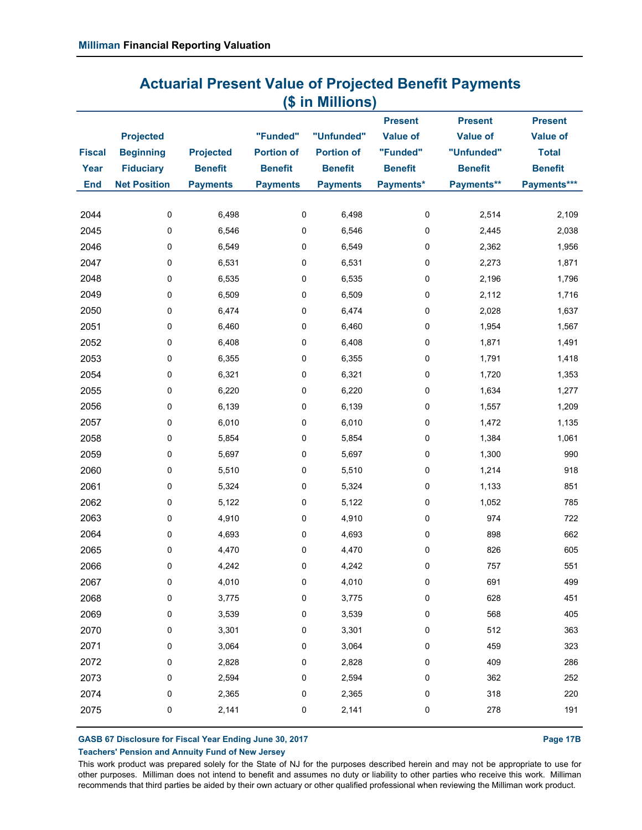|               |                     |                  |                   |                   | <b>Present</b>  | <b>Present</b>  | <b>Present</b>  |
|---------------|---------------------|------------------|-------------------|-------------------|-----------------|-----------------|-----------------|
|               | <b>Projected</b>    |                  | "Funded"          | "Unfunded"        | <b>Value of</b> | <b>Value of</b> | <b>Value of</b> |
| <b>Fiscal</b> | <b>Beginning</b>    | <b>Projected</b> | <b>Portion of</b> | <b>Portion of</b> | "Funded"        | "Unfunded"      | <b>Total</b>    |
| Year          | <b>Fiduciary</b>    | <b>Benefit</b>   | <b>Benefit</b>    | <b>Benefit</b>    | <b>Benefit</b>  | <b>Benefit</b>  | <b>Benefit</b>  |
| <b>End</b>    | <b>Net Position</b> | <b>Payments</b>  | <b>Payments</b>   | <b>Payments</b>   | Payments*       | Payments**      | Payments***     |
| 2044          | 0                   | 6,498            | 0                 | 6,498             | $\pmb{0}$       | 2,514           | 2,109           |
| 2045          | 0                   | 6,546            | 0                 | 6,546             | 0               | 2,445           | 2,038           |
| 2046          | 0                   | 6,549            | 0                 | 6,549             | 0               | 2,362           | 1,956           |
| 2047          | 0                   | 6,531            | 0                 | 6,531             | 0               | 2,273           | 1,871           |
| 2048          | 0                   | 6,535            | 0                 | 6,535             | $\pmb{0}$       | 2,196           | 1,796           |
| 2049          | 0                   | 6,509            | 0                 | 6,509             | 0               | 2,112           | 1,716           |
| 2050          | 0                   | 6,474            | 0                 | 6,474             | $\pmb{0}$       | 2,028           | 1,637           |
| 2051          | 0                   | 6,460            | 0                 | 6,460             | 0               | 1,954           | 1,567           |
| 2052          | 0                   | 6,408            | 0                 | 6,408             | $\mathbf 0$     | 1,871           | 1,491           |
| 2053          | 0                   | 6,355            | 0                 | 6,355             | 0               | 1,791           | 1,418           |
| 2054          | 0                   | 6,321            | 0                 | 6,321             | 0               | 1,720           | 1,353           |
| 2055          | 0                   | 6,220            | 0                 | 6,220             | $\pmb{0}$       | 1,634           | 1,277           |
| 2056          | 0                   | 6,139            | 0                 | 6,139             | $\mathbf 0$     | 1,557           | 1,209           |
| 2057          | 0                   | 6,010            | 0                 | 6,010             | 0               | 1,472           | 1,135           |
| 2058          | 0                   | 5,854            | 0                 | 5,854             | 0               | 1,384           | 1,061           |
| 2059          | 0                   | 5,697            | 0                 | 5,697             | $\mathbf 0$     | 1,300           | 990             |
| 2060          | 0                   | 5,510            | 0                 | 5,510             | 0               | 1,214           | 918             |
| 2061          | 0                   | 5,324            | 0                 | 5,324             | $\pmb{0}$       | 1,133           | 851             |
| 2062          | 0                   | 5,122            | 0                 | 5,122             | 0               | 1,052           | 785             |
| 2063          | 0                   | 4,910            | 0                 | 4,910             | $\pmb{0}$       | 974             | 722             |
| 2064          | 0                   | 4,693            | $\pmb{0}$         | 4,693             | 0               | 898             | 662             |
| 2065          | 0                   | 4,470            | 0                 | 4,470             | $\pmb{0}$       | 826             | 605             |
| 2066          | 0                   | 4,242            | $\pmb{0}$         | 4,242             | 0               | 757             | 551             |
| 2067          | 0                   | 4,010            | 0                 | 4,010             | 0               | 691             | 499             |
| 2068          | 0                   | 3,775            | 0                 | 3,775             | 0               | 628             | 451             |
| 2069          | 0                   | 3,539            | 0                 | 3,539             | 0               | 568             | 405             |
| 2070          | 0                   | 3,301            | 0                 | 3,301             | 0               | 512             | 363             |
| 2071          | 0                   | 3,064            | 0                 | 3,064             | 0               | 459             | 323             |
| 2072          | 0                   | 2,828            | 0                 | 2,828             | 0               | 409             | 286             |
| 2073          | 0                   | 2,594            | 0                 | 2,594             | 0               | 362             | 252             |
| 2074          | 0                   | 2,365            | 0                 | 2,365             | 0               | 318             | 220             |
| 2075          | 0                   | 2,141            | 0                 | 2,141             | 0               | 278             | 191             |
|               |                     |                  |                   |                   |                 |                 |                 |

GASB 67 Disclosure for Fiscal Year Ending June 30, 2017 **Page 17B Page 17B** 

**Teachers' Pension and Annuity Fund of New Jersey**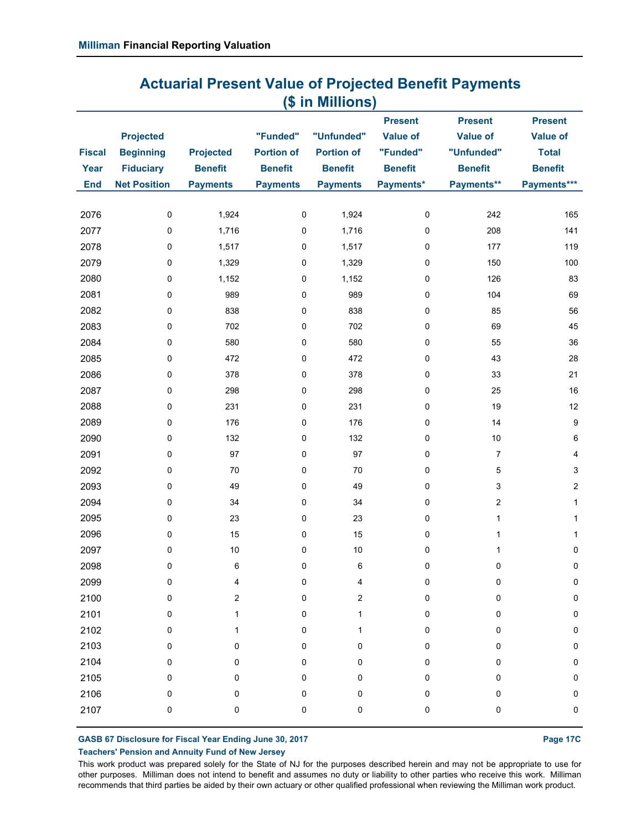|               |                     |                  |                   |                   | <b>Present</b>  | <b>Present</b>  | <b>Present</b>   |
|---------------|---------------------|------------------|-------------------|-------------------|-----------------|-----------------|------------------|
|               | <b>Projected</b>    |                  | "Funded"          | "Unfunded"        | <b>Value of</b> | <b>Value of</b> | <b>Value of</b>  |
| <b>Fiscal</b> | <b>Beginning</b>    | <b>Projected</b> | <b>Portion of</b> | <b>Portion of</b> | "Funded"        | "Unfunded"      | <b>Total</b>     |
| Year          | <b>Fiduciary</b>    | <b>Benefit</b>   | <b>Benefit</b>    | <b>Benefit</b>    | <b>Benefit</b>  | <b>Benefit</b>  | <b>Benefit</b>   |
| <b>End</b>    | <b>Net Position</b> | <b>Payments</b>  | <b>Payments</b>   | <b>Payments</b>   | Payments*       | Payments**      | Payments***      |
| 2076          | 0                   | 1,924            | $\pmb{0}$         | 1,924             | $\pmb{0}$       | 242             | 165              |
| 2077          | 0                   | 1,716            | 0                 | 1,716             | $\mathbf 0$     | 208             | 141              |
| 2078          | 0                   | 1,517            | 0                 | 1,517             | $\mathbf 0$     | 177             | 119              |
| 2079          | 0                   | 1,329            | 0                 | 1,329             | 0               | 150             | 100              |
| 2080          | 0                   | 1,152            | 0                 | 1,152             | $\mathbf 0$     | 126             | 83               |
| 2081          | 0                   | 989              | $\pmb{0}$         | 989               | $\pmb{0}$       | 104             | 69               |
| 2082          | 0                   | 838              | $\pmb{0}$         | 838               | $\pmb{0}$       | 85              | 56               |
| 2083          | 0                   | 702              | 0                 | 702               | $\pmb{0}$       | 69              | 45               |
| 2084          | 0                   | 580              | 0                 | 580               | $\mathbf 0$     | 55              | 36               |
| 2085          | 0                   | 472              | $\pmb{0}$         | 472               | $\pmb{0}$       | 43              | 28               |
| 2086          | 0                   | 378              | 0                 | 378               | $\mathbf 0$     | 33              | 21               |
| 2087          | 0                   | 298              | 0                 | 298               | $\pmb{0}$       | 25              | 16               |
| 2088          | 0                   | 231              | 0                 | 231               | $\mathbf 0$     | 19              | 12               |
| 2089          | 0                   | 176              | 0                 | 176               | $\mathbf 0$     | 14              | $\boldsymbol{9}$ |
| 2090          | 0                   | 132              | 0                 | 132               | $\pmb{0}$       | $10$            | 6                |
| 2091          | 0                   | 97               | 0                 | 97                | $\mathbf 0$     | $\overline{7}$  | 4                |
| 2092          | 0                   | 70               | $\pmb{0}$         | 70                | $\mathbf 0$     | $\,$ 5 $\,$     | 3                |
| 2093          | 0                   | 49               | 0                 | 49                | $\mathbf 0$     | 3               | $\overline{c}$   |
| 2094          | 0                   | 34               | 0                 | 34                | $\pmb{0}$       | $\sqrt{2}$      | $\mathbf{1}$     |
| 2095          | 0                   | 23               | 0                 | 23                | $\mathbf 0$     | $\mathbf{1}$    | 1                |
| 2096          | 0                   | 15               | $\pmb{0}$         | 15                | $\pmb{0}$       | $\mathbf{1}$    | $\mathbf{1}$     |
| 2097          | 0                   | 10               | 0                 | $10$              | $\mathbf 0$     | 1               | 0                |
| 2098          | 0                   | $\,6\,$          | $\pmb{0}$         | 6                 | $\pmb{0}$       | 0               | $\pmb{0}$        |
| 2099          | $\Omega$            | 4                | $\Omega$          | 4                 | $\Omega$        | $\Omega$        | $\Omega$         |
| 2100          | 0                   | 2                | 0                 | 2                 | 0               | 0               | 0                |
| 2101          | 0                   | 1                | $\pmb{0}$         | 1                 | 0               | 0               | 0                |
| 2102          | 0                   | 1                | 0                 | 1                 | 0               | 0               | 0                |
| 2103          | 0                   | 0                | 0                 | 0                 | 0               | 0               | 0                |
| 2104          | 0                   | 0                | 0                 | 0                 | 0               | 0               | 0                |
| 2105          | 0                   | 0                | $\pmb{0}$         | 0                 | 0               | 0               | 0                |
| 2106          | 0                   | 0                | $\pmb{0}$         | 0                 | 0               | 0               | 0                |
| 2107          | 0                   | 0                | $\pmb{0}$         | 0                 | 0               | 0               | $\mathbf 0$      |

**GASB 67 Disclosure for Fiscal Year Ending June 30, 2017 Page 17C**

**Teachers' Pension and Annuity Fund of New Jersey**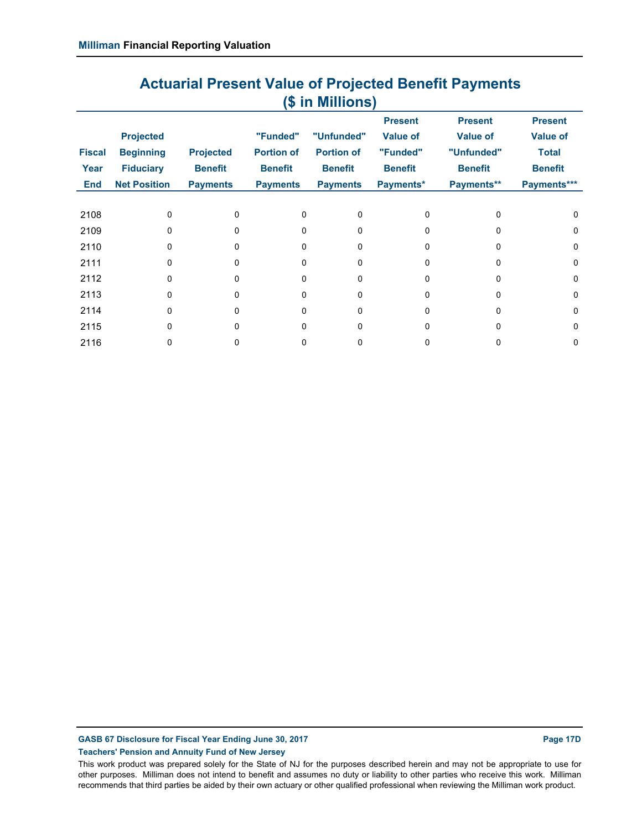|               |                     |                  |                   |                   | <b>Present</b>  | <b>Present</b>  | <b>Present</b>  |
|---------------|---------------------|------------------|-------------------|-------------------|-----------------|-----------------|-----------------|
|               | <b>Projected</b>    |                  | "Funded"          | "Unfunded"        | <b>Value of</b> | <b>Value of</b> | <b>Value of</b> |
| <b>Fiscal</b> | <b>Beginning</b>    | <b>Projected</b> | <b>Portion of</b> | <b>Portion of</b> | "Funded"        | "Unfunded"      | <b>Total</b>    |
| Year          | <b>Fiduciary</b>    | <b>Benefit</b>   | <b>Benefit</b>    | <b>Benefit</b>    | <b>Benefit</b>  | <b>Benefit</b>  | <b>Benefit</b>  |
| End           | <b>Net Position</b> | <b>Payments</b>  | <b>Payments</b>   | <b>Payments</b>   | Payments*       | Payments**      | Payments***     |
|               |                     |                  |                   |                   |                 |                 |                 |
| 2108          | $\Omega$            | $\Omega$         | <sup>0</sup>      | U                 | 0               | $\Omega$        | $\Omega$        |
| 2109          | $\Omega$            | U                | <sup>0</sup>      | 0                 | 0               | 0               | 0               |
| 2110          | $\Omega$            | U                | $\Omega$          | 0                 | 0               | $\Omega$        | 0               |
| 2111          | $\mathbf{0}$        | 0                | 0                 | 0                 | 0               | 0               | 0               |
| 2112          | $\Omega$            | U                | <sup>0</sup>      | 0                 | 0               | $\Omega$        | 0               |
| 2113          | $\Omega$            | 0                | $\Omega$          | 0                 | 0               | $\Omega$        | 0               |
| 2114          | $\Omega$            | U                | <sup>0</sup>      | U                 | <sup>0</sup>    | 0               | 0               |
| 2115          | $\Omega$            | U                | $\Omega$          | 0                 | <sup>0</sup>    | $\Omega$        | 0               |
| 2116          | 0                   |                  | 0                 | 0                 | 0               | 0               | 0               |

**GASB 67 Disclosure for Fiscal Year Ending June 30, 2017 Page 17D**

**Teachers' Pension and Annuity Fund of New Jersey**